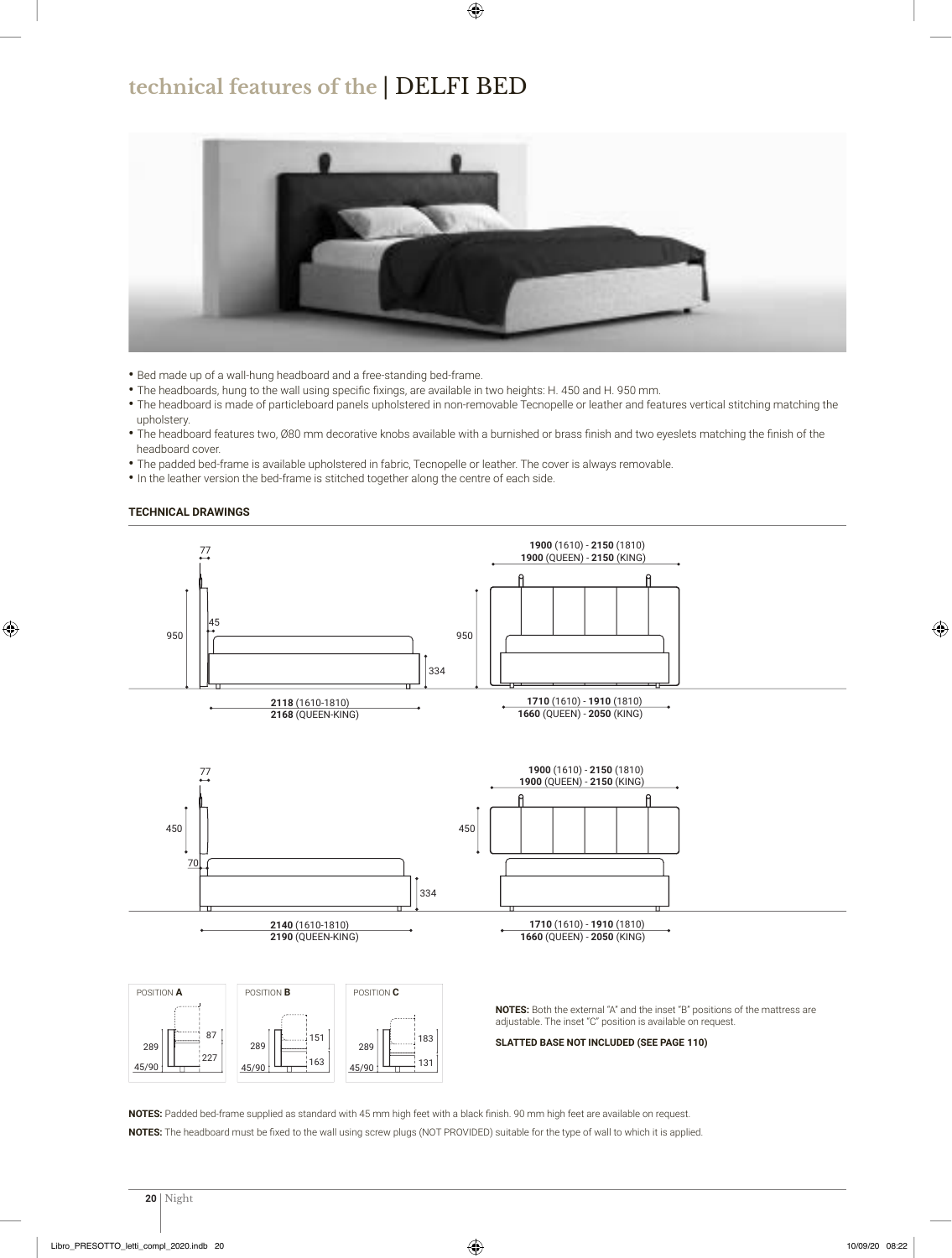### **technical features of the** | DELFI BED



- Bed made up of a wall-hung headboard and a free-standing bed-frame.
- The headboards, hung to the wall using specific fixings, are available in two heights: H. 450 and H. 950 mm.
- The headboard is made of particleboard panels upholstered in non-removable Tecnopelle or leather and features vertical stitching matching the upholstery.
- The headboard features two, 80 mm decorative knobs available with a burnished or brass finish and two eyeslets matching the finish of the headboard cover.
- The padded bed-frame is available upholstered in fabric, Tecnopelle or leather. The cover is always removable.
- In the leather version the bed-frame is stitched together along the centre of each side.

#### **TECHNICAL DRAWINGS**



**NOTES:** Padded bed-frame supplied as standard with 45 mm high feet with a black finish. 90 mm high feet are available on request. NOTES: The headboard must be fixed to the wall using screw plugs (NOT PROVIDED) suitable for the type of wall to which it is applied.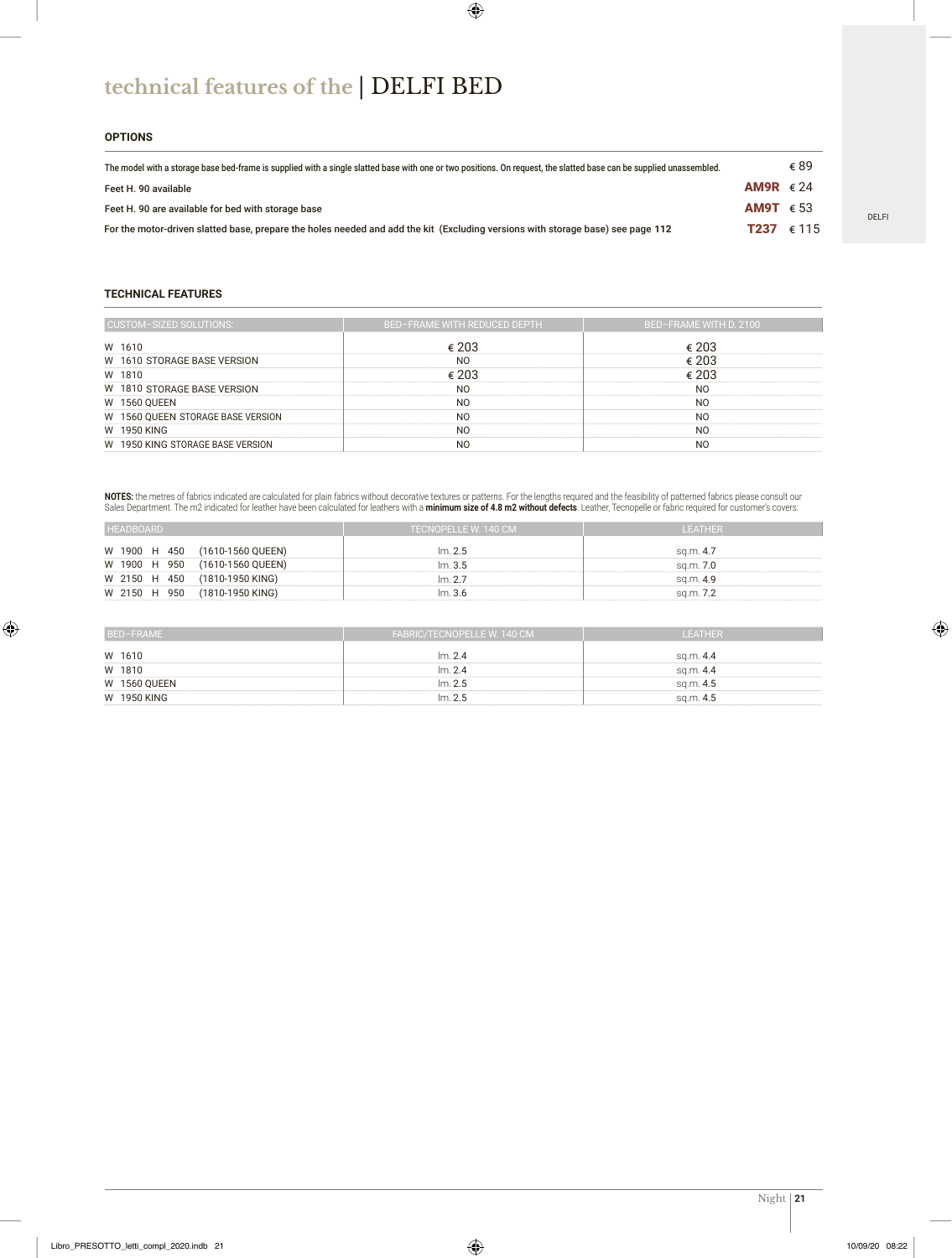# **technical features of the** | DELFI BED

#### **OPTIONS**

| The model with a storage base bed-frame is supplied with a single slatted base with one or two positions. On request, the slatted base can be supplied unassembled. |                    | € 89 |
|---------------------------------------------------------------------------------------------------------------------------------------------------------------------|--------------------|------|
| Feet H. 90 available                                                                                                                                                | AM9R $\epsilon$ 24 |      |
| Feet H. 90 are available for bed with storage base                                                                                                                  | AM9T $\epsilon$ 53 |      |
| For the motor-driven slatted base, prepare the holes needed and add the kit (Excluding versions with storage base) see page 112                                     | <b>T237</b> € 115  |      |

#### **TECHNICAL FEATURES**

| CUSTOM-SIZED SOLUTIONS:           | <b>BED-FRAME WITH REDUCED DEPTH</b> | BED-FRAME WITH D. 2100 |
|-----------------------------------|-------------------------------------|------------------------|
| W 1610                            | € 203                               | € 203                  |
| W 1610 STORAGE BASE VERSION       | N <sub>O</sub>                      | € 203                  |
| W 1810                            | € 203                               | € 203                  |
| W 1810 STORAGE BASE VERSION       | N <sub>O</sub>                      | N <sub>O</sub>         |
| <b>W 1560 QUEEN</b>               | N <sub>O</sub>                      | N <sub>O</sub>         |
| W 1560 QUEEN STORAGE BASE VERSION | N <sub>O</sub>                      | N <sub>O</sub>         |
| W 1950 KING                       | N <sub>O</sub>                      | N <sub>O</sub>         |
| W 1950 KING STORAGE BASE VERSION  | N <sub>O</sub>                      | N <sub>O</sub>         |

**NOTES:** the metres of fabrics indicated are calculated for plain fabrics without decorative textures or patterns. For the lengths required and the feasibility of patterned fabrics please consult our Sales Department. The m2 indicated for leather have been calculated for leathers with a **minimum size of 4.8 m2 without defects**. Leather, Tecnopelle or fabric required for customer's covers:

| <b>HEADBOARD</b>               | TECNOPELLE W. 140 CM | LEATHER   |
|--------------------------------|----------------------|-----------|
| W 1900 H 450 (1610-1560 QUEEN) | Im. 2.5              | sq.m. 4.7 |
| W 1900 H 950 (1610-1560 QUEEN) | Im.3.5               | sg.m. 7.0 |
| W 2150 H 450 (1810-1950 KING)  | Im. 2.7              | sa.m. 4.9 |
| W 2150 H 950 (1810-1950 KING)  | Im.3.6               | sq.m. 7.2 |

| BED-FRAME           | FABRIC/TECNOPELLE W. 140 CM | LEATHER   |
|---------------------|-----------------------------|-----------|
| W 1610              | Im.2.4                      | sq.m. 4.4 |
| W 1810              | Im. 2.4                     | sq.m. 4.4 |
| <b>W 1560 QUEEN</b> | Im. 2.5                     | sq.m. 4.5 |
| W 1950 KING         | Im. 2.5                     | sq.m. 4.5 |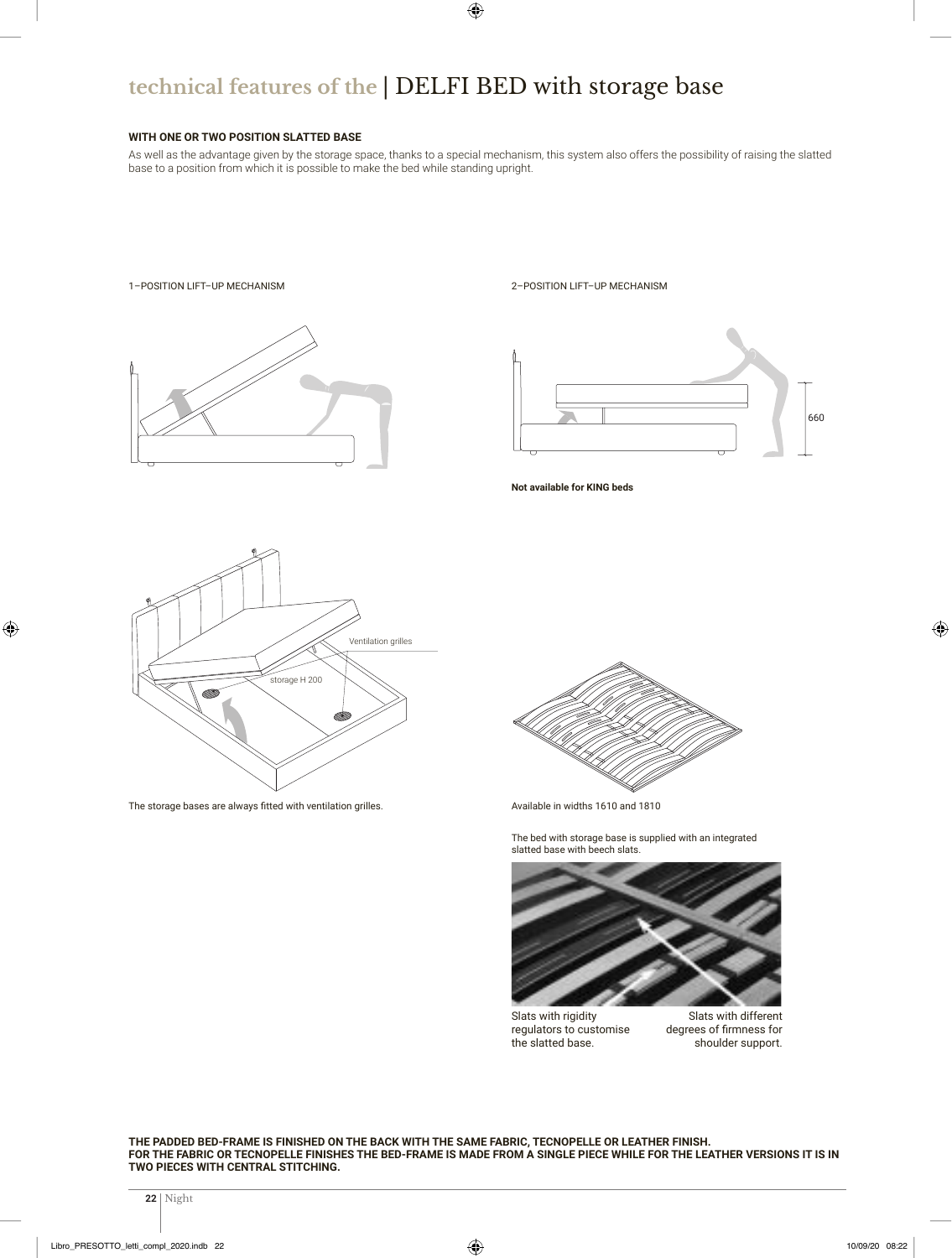# **technical features of the** | DELFI BED with storage base

#### **WITH ONE OR TWO POSITION SLATTED BASE**

As well as the advantage given by the storage space, thanks to a special mechanism, this system also offers the possibility of raising the slatted base to a position from which it is possible to make the bed while standing upright.

660



**THE PADDED BED-FRAME IS FINISHED ON THE BACK WITH THE SAME FABRIC, TECNOPELLE OR LEATHER FINISH. FOR THE FABRIC OR TECNOPELLE FINISHES THE BED-FRAME IS MADE FROM A SINGLE PIECE WHILE FOR THE LEATHER VERSIONS IT IS IN TWO PIECES WITH CENTRAL STITCHING.**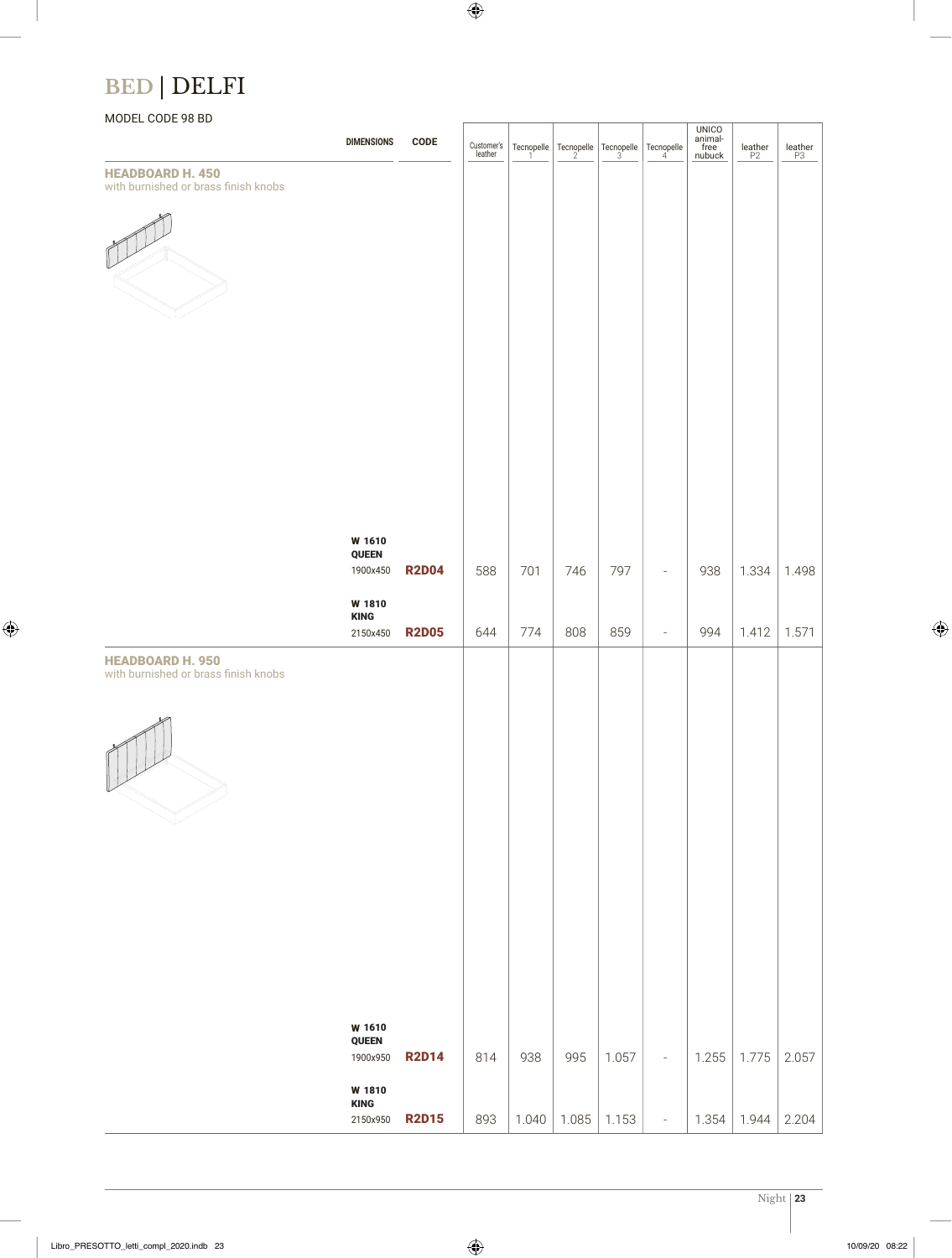## **BED** | DELFI

### MODEL CODE 98 BD

| <b>HEADBOARD H. 450</b><br>with burnished or brass finish knobs | <b>DIMENSIONS</b>                                                | <b>CODE</b>                  | Customer's<br>leather | $\begin{array}{c}\n\text{Tecnopelle} \\ 1\n\end{array}$ |              | Tecnopelle $\begin{array}{ c c c }\n\end{array}$ Tecnopelle $\begin{array}{ c c c }\n\end{array}$ Tecnopelle |                                                      | UNICO<br>animal-<br>free<br>nubuck | $\underset{\mathsf{P2}}{\mathsf{leather}}$ | $\underset{\mathsf{P3}}{\mathsf{leather}}$ |
|-----------------------------------------------------------------|------------------------------------------------------------------|------------------------------|-----------------------|---------------------------------------------------------|--------------|--------------------------------------------------------------------------------------------------------------|------------------------------------------------------|------------------------------------|--------------------------------------------|--------------------------------------------|
|                                                                 |                                                                  |                              |                       |                                                         |              |                                                                                                              |                                                      |                                    |                                            |                                            |
|                                                                 | W 1610<br>QUEEN<br>1900x450                                      | <b>R2D04</b>                 | 588                   | 701                                                     | 746          | 797                                                                                                          | $\overline{\phantom{a}}$                             | 938                                | 1.334                                      | 1.498                                      |
|                                                                 | W 1810<br><b>KING</b><br>2150x450                                | <b>R2D05</b>                 | 644                   | 774                                                     | 808          | 859                                                                                                          | $\overline{\phantom{a}}$                             | 994                                | 1.412                                      | 1.571                                      |
| <b>HEADBOARD H. 950</b><br>with burnished or brass finish knobs |                                                                  |                              |                       |                                                         |              |                                                                                                              |                                                      |                                    |                                            |                                            |
|                                                                 | W 1610<br>QUEEN<br>1900x950<br>W 1810<br><b>KING</b><br>2150x950 | <b>R2D14</b><br><b>R2D15</b> | 814<br>893            | 938<br>1.040                                            | 995<br>1.085 | 1.057<br>1.153                                                                                               | $\overline{\phantom{a}}$<br>$\overline{\phantom{a}}$ | 1.255<br>1.354                     | 1.775<br>1.944                             | 2.057<br>2.204                             |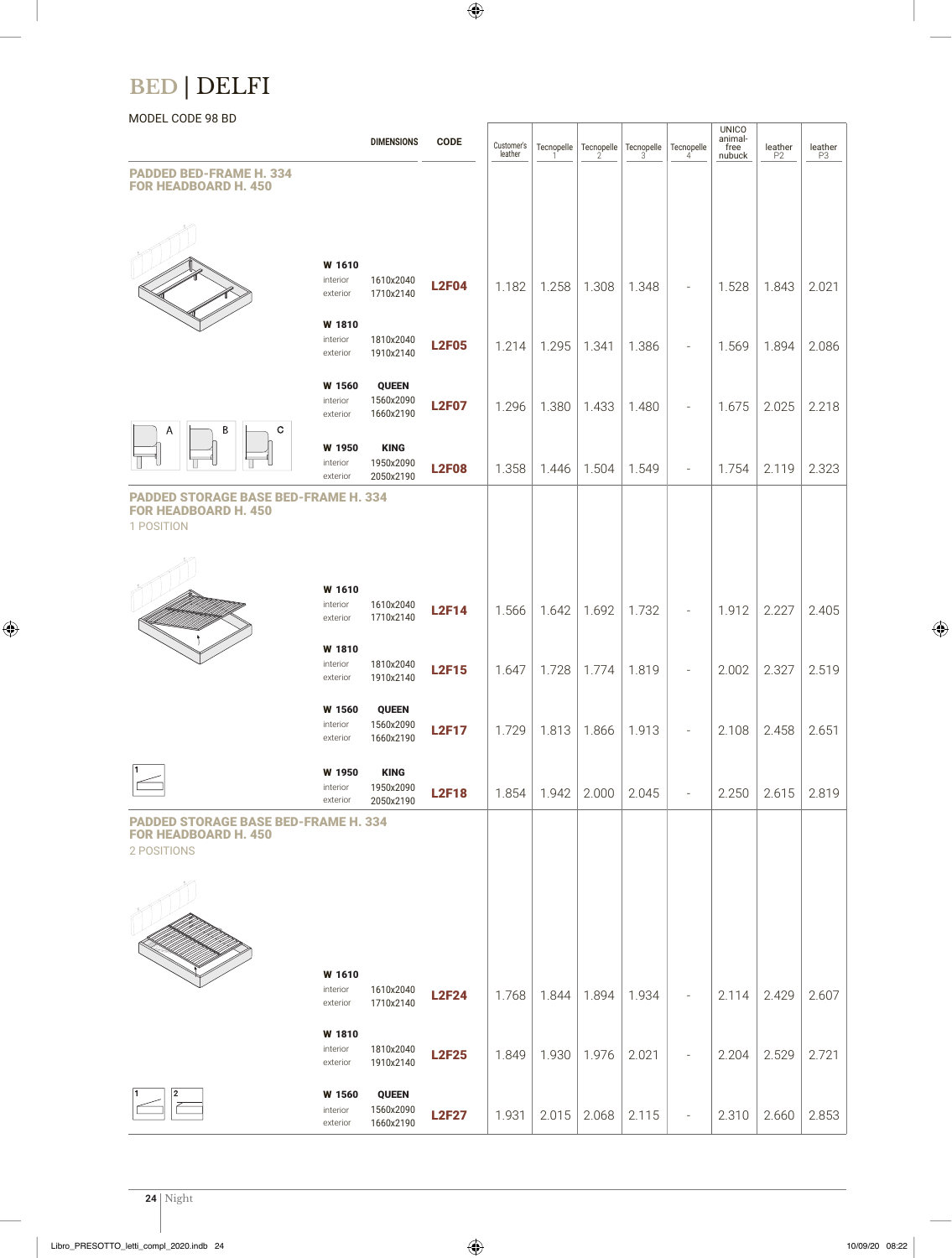## **BED** | DELFI

### MODEL CODE 98 BD

|                                                                                           |                                | <b>DIMENSIONS</b>                      | <b>CODE</b>  | Customer's<br>leather | Tecnopelle |       | Tecnopelle Tecnopelle | Tecnopelle<br>4              | UNICO<br>animal-<br>free<br>nubuck | $\underset{\mathsf{P2}}{\mathsf{leather}}$ | leather<br>P3 |
|-------------------------------------------------------------------------------------------|--------------------------------|----------------------------------------|--------------|-----------------------|------------|-------|-----------------------|------------------------------|------------------------------------|--------------------------------------------|---------------|
| <b>PADDED BED-FRAME H. 334</b><br><b>FOR HEADBOARD H. 450</b>                             |                                |                                        |              |                       |            |       |                       |                              |                                    |                                            |               |
|                                                                                           |                                |                                        |              |                       |            |       |                       |                              |                                    |                                            |               |
|                                                                                           | W 1610<br>interior<br>exterior | 1610x2040<br>1710x2140                 | <b>L2F04</b> | 1.182                 | 1.258      | 1.308 | 1.348                 |                              | 1.528                              | 1.843                                      | 2.021         |
|                                                                                           | W 1810<br>interior<br>exterior | 1810x2040<br>1910x2140                 | <b>L2F05</b> | 1.214                 | 1.295      | 1.341 | 1.386                 |                              | 1.569                              | 1.894                                      | 2.086         |
|                                                                                           | W 1560<br>interior<br>exterior | <b>QUEEN</b><br>1560x2090<br>1660x2190 | <b>L2F07</b> | 1.296                 | 1.380      | 1.433 | 1.480                 | $\qquad \qquad \blacksquare$ | 1.675                              | 2.025                                      | 2.218         |
| Β<br>С<br>Α                                                                               | W 1950<br>interior<br>exterior | <b>KING</b><br>1950x2090<br>2050x2190  | <b>L2F08</b> | 1.358                 | 1.446      | 1.504 | 1.549                 | $\qquad \qquad \blacksquare$ | 1.754                              | 2.119                                      | 2.323         |
| <b>PADDED STORAGE BASE BED-FRAME H. 334</b><br><b>FOR HEADBOARD H. 450</b><br>1 POSITION  |                                |                                        |              |                       |            |       |                       |                              |                                    |                                            |               |
|                                                                                           |                                |                                        |              |                       |            |       |                       |                              |                                    |                                            |               |
|                                                                                           | W 1610<br>interior<br>exterior | 1610x2040<br>1710x2140                 | <b>L2F14</b> | 1.566                 | 1.642      | 1.692 | 1.732                 | $\overline{\phantom{a}}$     | 1.912                              | 2.227                                      | 2.405         |
|                                                                                           | W 1810<br>interior<br>exterior | 1810x2040<br>1910x2140                 | <b>L2F15</b> | 1.647                 | 1.728      | 1.774 | 1.819                 | $\overline{a}$               | 2.002                              | 2.327                                      | 2.519         |
|                                                                                           | W 1560<br>interior<br>exterior | <b>QUEEN</b><br>1560x2090<br>1660x2190 | <b>L2F17</b> | 1.729                 | 1.813      | 1.866 | 1.913                 |                              | 2.108                              | 2.458                                      | 2.651         |
| 1                                                                                         | W 1950<br>interior<br>exterior | <b>KING</b><br>1950x2090<br>2050x2190  | <b>L2F18</b> | 1.854                 | 1.942      | 2.000 | 2.045                 |                              | 2.250                              | 2.615                                      | 2.819         |
| <b>PADDED STORAGE BASE BED-FRAME H. 334</b><br><b>FOR HEADBOARD H. 450</b><br>2 POSITIONS |                                |                                        |              |                       |            |       |                       |                              |                                    |                                            |               |
|                                                                                           |                                |                                        |              |                       |            |       |                       |                              |                                    |                                            |               |
|                                                                                           |                                |                                        |              |                       |            |       |                       |                              |                                    |                                            |               |
|                                                                                           | W 1610<br>interior<br>exterior | 1610x2040<br>1710x2140                 | <b>L2F24</b> | 1.768                 | 1.844      | 1.894 | 1.934                 |                              | 2.114                              | 2.429                                      | 2.607         |
|                                                                                           | W 1810<br>interior<br>exterior | 1810x2040<br>1910x2140                 | <b>L2F25</b> | 1.849                 | 1.930      | 1.976 | 2.021                 | $\overline{a}$               | 2.204                              | 2.529                                      | 2.721         |
| 2                                                                                         | W 1560<br>interior<br>exterior | <b>QUEEN</b><br>1560x2090<br>1660x2190 | <b>L2F27</b> | 1.931                 | 2.015      | 2.068 | 2.115                 | $\qquad \qquad \blacksquare$ | 2.310                              | 2.660                                      | 2.853         |